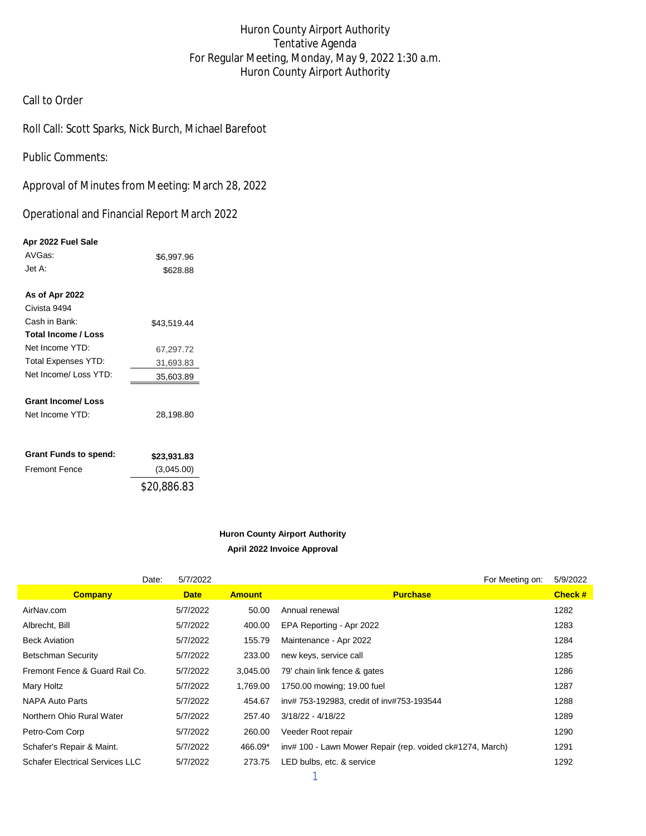# Huron County Airport Authority Tentative Agenda For Regular Meeting, Monday, May 9, 2022 1:30 a.m. Huron County Airport Authority

## Call to Order

Roll Call: Scott Sparks, Nick Burch, Michael Barefoot

Public Comments:

Approval of Minutes from Meeting: March 28, 2022

Operational and Financial Report March 2022

#### **Apr 2022 Fuel Sale**

| <b>Grant Funds to spend:</b> | \$23,931.83 |
|------------------------------|-------------|
| <b>Fremont Fence</b>         | (3,045.00)  |
|                              | \$20,886.83 |

#### **Huron County Airport Authority April 2022 Invoice Approval**

|                                        | Date: | 5/7/2022    |               |          |                                                           | For Meeting on: | 5/9/2022 |
|----------------------------------------|-------|-------------|---------------|----------|-----------------------------------------------------------|-----------------|----------|
| <b>Company</b>                         |       | <b>Date</b> | <b>Amount</b> |          | <b>Purchase</b>                                           |                 | Check #  |
| AirNav.com                             |       | 5/7/2022    |               | 50.00    | Annual renewal                                            |                 | 1282     |
| Albrecht, Bill                         |       | 5/7/2022    |               | 400.00   | EPA Reporting - Apr 2022                                  |                 | 1283     |
| <b>Beck Aviation</b>                   |       | 5/7/2022    |               | 155.79   | Maintenance - Apr 2022                                    |                 | 1284     |
| <b>Betschman Security</b>              |       | 5/7/2022    |               | 233.00   | new keys, service call                                    |                 | 1285     |
| Fremont Fence & Guard Rail Co.         |       | 5/7/2022    |               | 3,045.00 | 79' chain link fence & gates                              |                 | 1286     |
| Mary Holtz                             |       | 5/7/2022    |               | 1,769.00 | 1750.00 mowing: 19.00 fuel                                |                 | 1287     |
| <b>NAPA Auto Parts</b>                 |       | 5/7/2022    |               | 454.67   | inv# 753-192983, credit of inv#753-193544                 |                 | 1288     |
| Northern Ohio Rural Water              |       | 5/7/2022    |               | 257.40   | $3/18/22 - 4/18/22$                                       |                 | 1289     |
| Petro-Com Corp                         |       | 5/7/2022    |               | 260.00   | Veeder Root repair                                        |                 | 1290     |
| Schafer's Repair & Maint.              |       | 5/7/2022    |               | 466.09*  | inv# 100 - Lawn Mower Repair (rep. voided ck#1274, March) |                 | 1291     |
| <b>Schafer Electrical Services LLC</b> |       | 5/7/2022    |               | 273.75   | LED bulbs, etc. & service                                 |                 | 1292     |